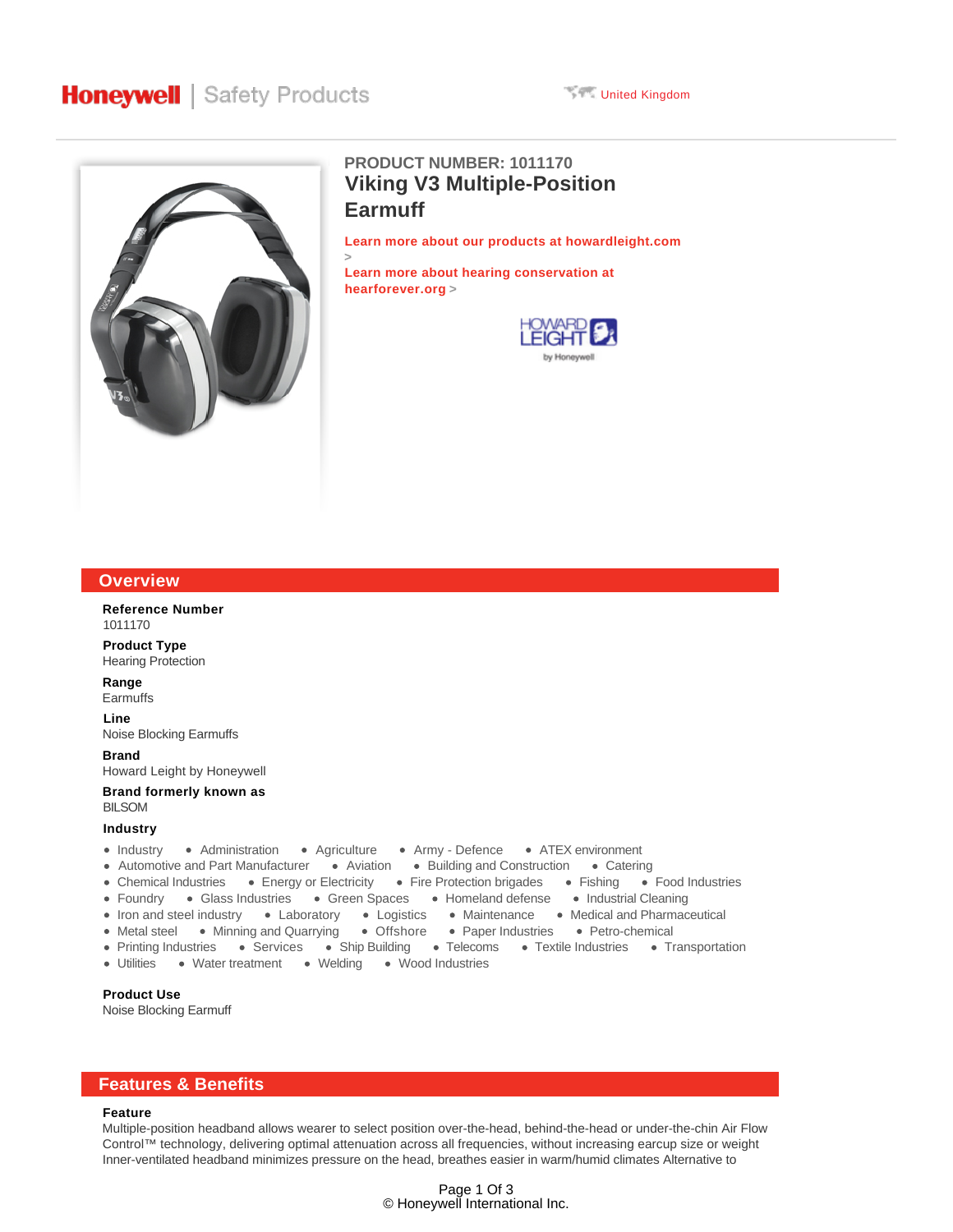



# **Viking V3 Multiple-Position Earmuff PRODUCT NUMBER: 1011170**

**Learn more about our products at howardleight.com**

**Learn more about hearing conservation at hearforever.org >**

**>**



| <b>Overview</b>                                                                                                                                                                                                                                                                                                                                                                                                                                                                                                                                                |
|----------------------------------------------------------------------------------------------------------------------------------------------------------------------------------------------------------------------------------------------------------------------------------------------------------------------------------------------------------------------------------------------------------------------------------------------------------------------------------------------------------------------------------------------------------------|
| <b>Reference Number</b><br>1011170                                                                                                                                                                                                                                                                                                                                                                                                                                                                                                                             |
| <b>Product Type</b><br><b>Hearing Protection</b>                                                                                                                                                                                                                                                                                                                                                                                                                                                                                                               |
| Range<br>Earmuffs                                                                                                                                                                                                                                                                                                                                                                                                                                                                                                                                              |
| Line<br>Noise Blocking Earmuffs                                                                                                                                                                                                                                                                                                                                                                                                                                                                                                                                |
| <b>Brand</b><br>Howard Leight by Honeywell                                                                                                                                                                                                                                                                                                                                                                                                                                                                                                                     |
| Brand formerly known as<br><b>BILSOM</b>                                                                                                                                                                                                                                                                                                                                                                                                                                                                                                                       |
| Industry                                                                                                                                                                                                                                                                                                                                                                                                                                                                                                                                                       |
| • Industry • Administration • Agriculture • Army - Defence • ATEX environment<br>• Automotive and Part Manufacturer • Aviation • Building and Construction • Catering<br>• Chemical Industries • Energy or Electricity • Fire Protection brigades • Fishing • Food Industries<br>• Foundry • Glass Industries • Green Spaces • Homeland defense • Industrial Cleaning<br>• Iron and steel industry • Laboratory • Logistics • Maintenance • Medical and Pharmaceutical<br>• Metal steel • Minning and Quarrying • Offshore • Paper Industries • Petro-chemical |

- Printing Industries Services Ship Building Telecoms Textile Industries Transportation
- Utilities Water treatment Welding Wood Industries

### **Product Use**

Noise Blocking Earmuff

## **Features & Benefits**

### **Feature**

Multiple-position headband allows wearer to select position over-the-head, behind-the-head or under-the-chin Air Flow Control™ technology, delivering optimal attenuation across all frequencies, without increasing earcup size or weight Inner-ventilated headband minimizes pressure on the head, breathes easier in warm/humid climates Alternative to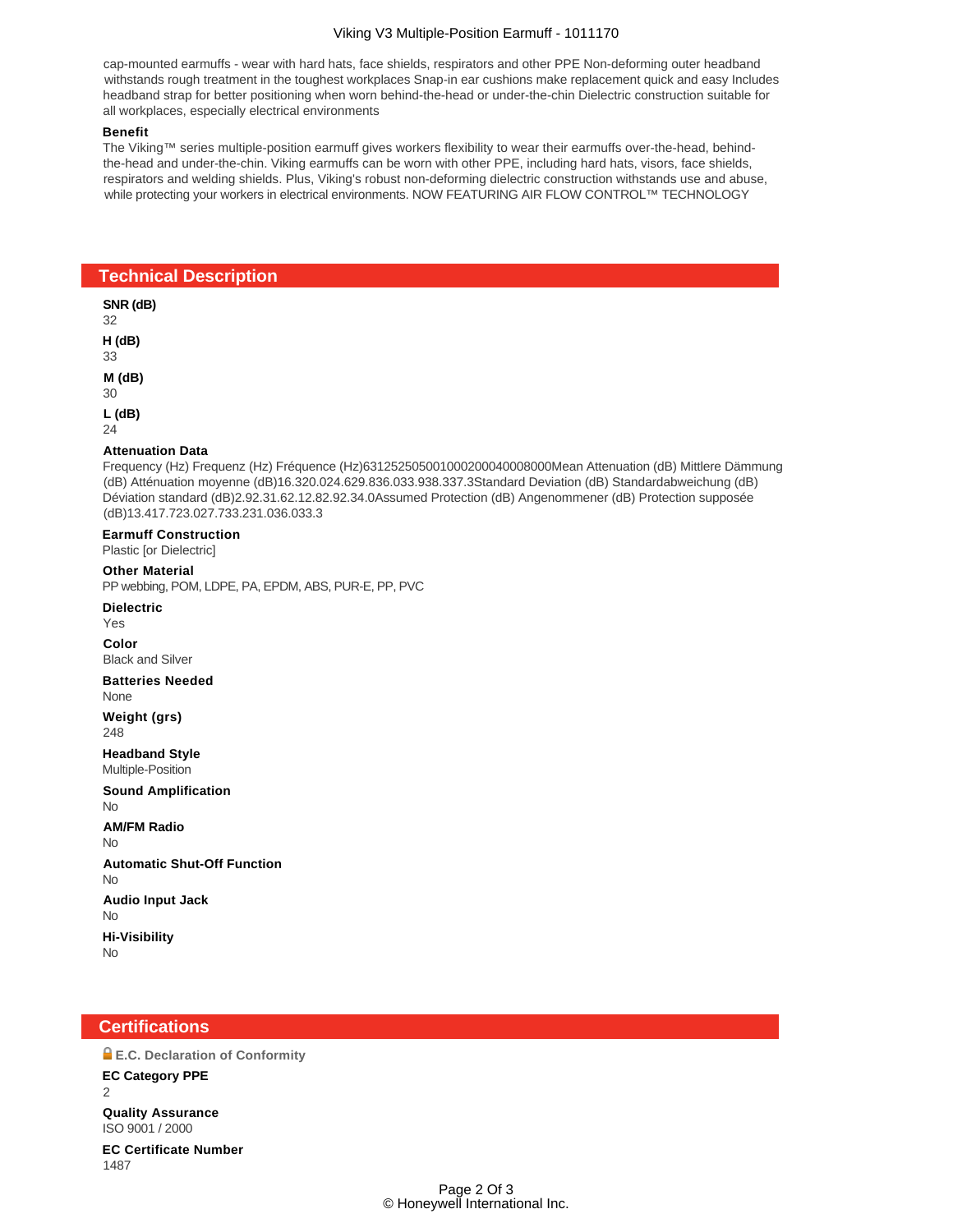## Viking V3 Multiple-Position Earmuff - 1011170

cap-mounted earmuffs - wear with hard hats, face shields, respirators and other PPE Non-deforming outer headband withstands rough treatment in the toughest workplaces Snap-in ear cushions make replacement quick and easy Includes headband strap for better positioning when worn behind-the-head or under-the-chin Dielectric construction suitable for all workplaces, especially electrical environments

### **Benefit**

The Viking™ series multiple-position earmuff gives workers flexibility to wear their earmuffs over-the-head, behindthe-head and under-the-chin. Viking earmuffs can be worn with other PPE, including hard hats, visors, face shields, respirators and welding shields. Plus, Viking's robust non-deforming dielectric construction withstands use and abuse, while protecting your workers in electrical environments. NOW FEATURING AIR FLOW CONTROL™ TECHNOLOGY

## **Technical Description**

**SNR (dB)** 32 **H (dB)** 33 **M (dB)** 30 **L (dB)**  $24$ **Attenuation Data** Frequency (Hz) Frequenz (Hz) Fréquence (Hz)631252505001000200040008000Mean Attenuation (dB) Mittlere Dämmung (dB) Atténuation moyenne (dB)16.320.024.629.836.033.938.337.3Standard Deviation (dB) Standardabweichung (dB) Déviation standard (dB)2.92.31.62.12.82.92.34.0Assumed Protection (dB) Angenommener (dB) Protection supposée (dB)13.417.723.027.733.231.036.033.3 **Earmuff Construction** Plastic [or Dielectric] **Other Material** PP webbing, POM, LDPE, PA, EPDM, ABS, PUR-E, PP, PVC **Dielectric** Yes **Color** Black and Silver **Batteries Needed** None **Weight (grs)** 248 **Headband Style** Multiple-Position **Sound Amplification** No **AM/FM Radio** No **Automatic Shut-Off Function** No **Audio Input Jack** No **Hi-Visibility** No

## **Certifications**

1487

**E.C. Declaration of Conformity EC Category PPE**  $\mathfrak{D}$ **Quality Assurance** ISO 9001 / 2000 **EC Certificate Number**